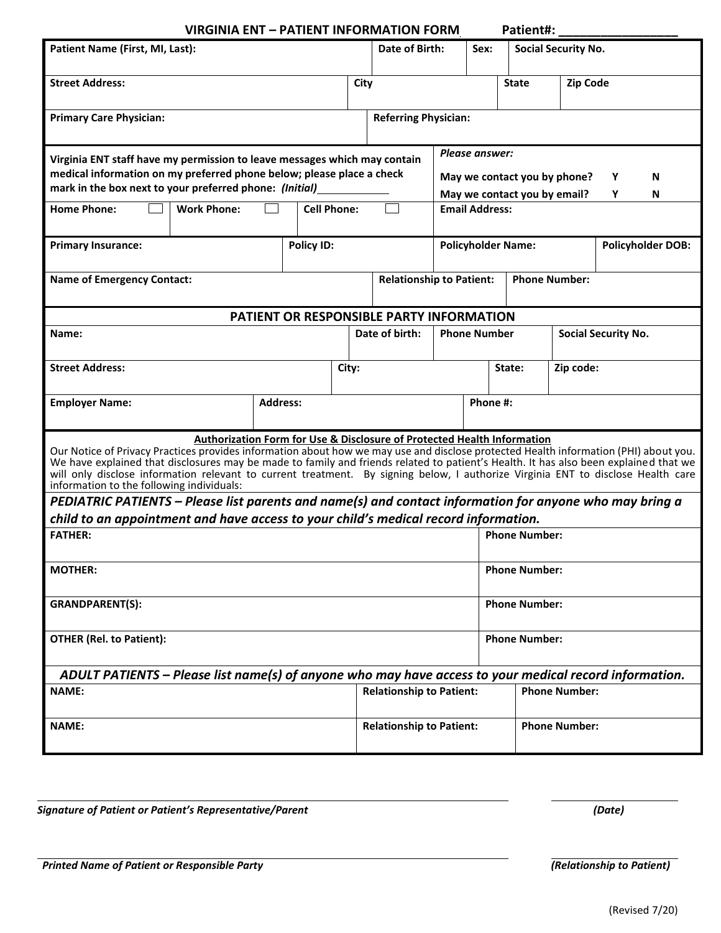**VIRGINIA ENT – PATIENT INFORMATION FORM Patient#:** 

| Patient Name (First, MI, Last):                                                                                                                                                                                                                                                                                                                                                                                                                               |                 |  |  |                                                                                    | Date of Birth:                                                                                                 |                                                         |                      | <b>Social Security No.</b> |                            |        |  |
|---------------------------------------------------------------------------------------------------------------------------------------------------------------------------------------------------------------------------------------------------------------------------------------------------------------------------------------------------------------------------------------------------------------------------------------------------------------|-----------------|--|--|------------------------------------------------------------------------------------|----------------------------------------------------------------------------------------------------------------|---------------------------------------------------------|----------------------|----------------------------|----------------------------|--------|--|
| <b>Street Address:</b>                                                                                                                                                                                                                                                                                                                                                                                                                                        |                 |  |  | City                                                                               |                                                                                                                |                                                         |                      | <b>Zip Code</b>            |                            |        |  |
| <b>Primary Care Physician:</b>                                                                                                                                                                                                                                                                                                                                                                                                                                |                 |  |  | <b>Referring Physician:</b>                                                        |                                                                                                                |                                                         |                      |                            |                            |        |  |
| Virginia ENT staff have my permission to leave messages which may contain<br>medical information on my preferred phone below; please place a check<br>mark in the box next to your preferred phone: (Initial)<br><b>Home Phone:</b><br><b>Work Phone:</b><br><b>Cell Phone:</b>                                                                                                                                                                               |                 |  |  |                                                                                    | <b>Please answer:</b><br>May we contact you by phone?<br>May we contact you by email?<br><b>Email Address:</b> |                                                         |                      |                            | Y<br>Υ                     | N<br>N |  |
| <b>Primary Insurance:</b>                                                                                                                                                                                                                                                                                                                                                                                                                                     | Policy ID:      |  |  |                                                                                    | <b>Policyholder Name:</b>                                                                                      |                                                         |                      | <b>Policyholder DOB:</b>   |                            |        |  |
| <b>Name of Emergency Contact:</b>                                                                                                                                                                                                                                                                                                                                                                                                                             |                 |  |  |                                                                                    |                                                                                                                | <b>Relationship to Patient:</b><br><b>Phone Number:</b> |                      |                            |                            |        |  |
|                                                                                                                                                                                                                                                                                                                                                                                                                                                               |                 |  |  | PATIENT OR RESPONSIBLE PARTY INFORMATION                                           |                                                                                                                |                                                         |                      |                            |                            |        |  |
| Name:                                                                                                                                                                                                                                                                                                                                                                                                                                                         |                 |  |  | Date of birth:                                                                     |                                                                                                                |                                                         | <b>Phone Number</b>  |                            | <b>Social Security No.</b> |        |  |
| <b>Street Address:</b><br>City:                                                                                                                                                                                                                                                                                                                                                                                                                               |                 |  |  |                                                                                    |                                                                                                                |                                                         |                      | Zip code:                  |                            |        |  |
| <b>Employer Name:</b>                                                                                                                                                                                                                                                                                                                                                                                                                                         | <b>Address:</b> |  |  |                                                                                    |                                                                                                                |                                                         | Phone #:             |                            |                            |        |  |
| Our Notice of Privacy Practices provides information about how we may use and disclose protected Health information (PHI) about you.<br>We have explained that disclosures may be made to family and friends related to patient's Health. It has also been explained that we<br>will only disclose information relevant to current treatment. By signing below, I authorize Virginia ENT to disclose Health care<br>information to the following individuals: |                 |  |  | <b>Authorization Form for Use &amp; Disclosure of Protected Health Information</b> |                                                                                                                |                                                         |                      |                            |                            |        |  |
| PEDIATRIC PATIENTS – Please list parents and name(s) and contact information for anyone who may bring a                                                                                                                                                                                                                                                                                                                                                       |                 |  |  |                                                                                    |                                                                                                                |                                                         |                      |                            |                            |        |  |
| child to an appointment and have access to your child's medical record information.                                                                                                                                                                                                                                                                                                                                                                           |                 |  |  |                                                                                    |                                                                                                                |                                                         |                      |                            |                            |        |  |
| <b>FATHER:</b>                                                                                                                                                                                                                                                                                                                                                                                                                                                |                 |  |  |                                                                                    |                                                                                                                | <b>Phone Number:</b>                                    |                      |                            |                            |        |  |
| <b>MOTHER:</b>                                                                                                                                                                                                                                                                                                                                                                                                                                                |                 |  |  |                                                                                    |                                                                                                                |                                                         | <b>Phone Number:</b> |                            |                            |        |  |
| <b>GRANDPARENT(S):</b>                                                                                                                                                                                                                                                                                                                                                                                                                                        |                 |  |  |                                                                                    |                                                                                                                |                                                         | <b>Phone Number:</b> |                            |                            |        |  |
| <b>OTHER (Rel. to Patient):</b>                                                                                                                                                                                                                                                                                                                                                                                                                               |                 |  |  |                                                                                    |                                                                                                                | <b>Phone Number:</b>                                    |                      |                            |                            |        |  |
| ADULT PATIENTS – Please list name(s) of anyone who may have access to your medical record information.                                                                                                                                                                                                                                                                                                                                                        |                 |  |  |                                                                                    |                                                                                                                |                                                         |                      |                            |                            |        |  |
| <b>NAME:</b>                                                                                                                                                                                                                                                                                                                                                                                                                                                  |                 |  |  | <b>Relationship to Patient:</b>                                                    |                                                                                                                |                                                         | <b>Phone Number:</b> |                            |                            |        |  |
| <b>NAME:</b>                                                                                                                                                                                                                                                                                                                                                                                                                                                  |                 |  |  |                                                                                    | <b>Relationship to Patient:</b>                                                                                |                                                         |                      | <b>Phone Number:</b>       |                            |        |  |

(Revised 7/20)